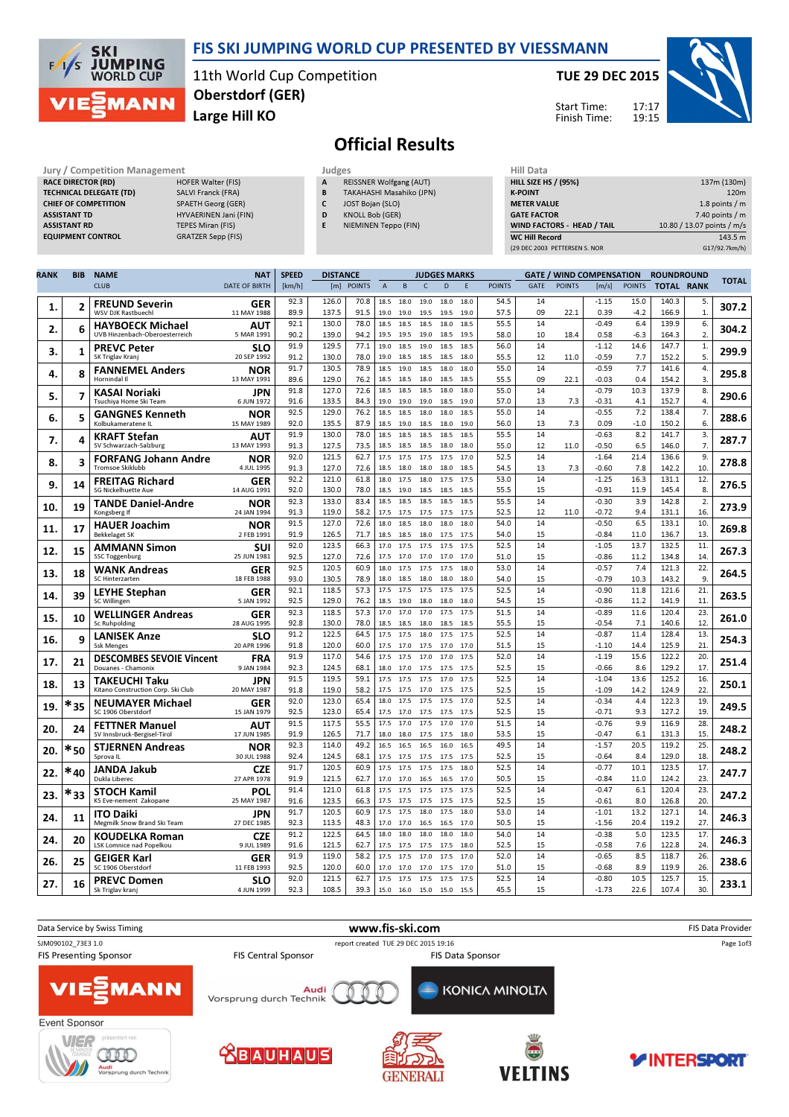

### FIS SKI JUMPING WORLD CUP PRESENTED BY VIESSMANN

11th World Cup Competition Large Hill KO Oberstdorf (GER)

#### TUE 29 DEC 2015

HILL SIZE HS / (95%) 137m (130m)



# Official Results

| Jury / Competition Management  |                          | Judges | <b>Hill Data</b>               |                    |
|--------------------------------|--------------------------|--------|--------------------------------|--------------------|
| <b>RACE DIRECTOR (RD)</b>      | HOFER Walter (FIS)       | A      | <b>REISSNER Wolfgang (AUT)</b> | <b>HILL SIZE H</b> |
| <b>TECHNICAL DELEGATE (TD)</b> | SALVI Franck (FRA)       | B      | TAKAHASHI Masahiko (JPN)       | <b>K-POINT</b>     |
| <b>CHIEF OF COMPETITION</b>    | SPAETH Georg (GER)       |        | JOST Bojan (SLO)               | <b>METER VAI</b>   |
| <b>ASSISTANT TD</b>            | HYVAERINEN Jani (FIN)    | D      | KNOLL Bob (GER)                | <b>GATE FACT</b>   |
| <b>ASSISTANT RD</b>            | <b>TEPES Miran (FIS)</b> |        | NIEMINEN Teppo (FIN)           | <b>WIND FACT</b>   |
| <b>EQUIPMENT CONTROL</b>       | GRATZER Sepp (FIS)       |        |                                | <b>WC Hill Reg</b> |

| luages |                                |
|--------|--------------------------------|
|        | <b>REISSNER Wolfgang (AUT)</b> |

- B TAKAHASHI Masahiko (JPN)
- C JOST Bojan (SLO)
- D KNOLL Bob (GER) E NIEMINEN Teppo (FIN)
- **K-POINT** 220m METER VALUE 1.8 points / m GATE FACTOR 7.40 points / m WIND FACTORS - HEAD / TAIL 10.80 / 13.07 points / m/s WC Hill Record 143.5 m (29 DEC 2003 PETTERSEN S. NOR G17/92.7km/h)

Start Time: Finish Time:

| <b>RANK</b> | <b>BIB</b> | <b>NAME</b><br><b>CLUB</b>                             | <b>NAT</b><br><b>DATE OF BIRTH</b> | <b>SPEED</b><br>[km/h] | <b>DISTANCE</b> | [m] POINTS   | $\overline{A}$ | B                 | <b>JUDGES MARKS</b><br>$\mathsf{C}$ | D            | E            | <b>POINTS</b> | <b>GATE</b> | <b>GATE / WIND COMPENSATION</b><br><b>POINTS</b> | $\lfloor m/s \rfloor$ | <b>POINTS</b>  | <b>ROUNDROUND</b><br><b>TOTAL RANK</b> |                    | <b>TOTAL</b> |
|-------------|------------|--------------------------------------------------------|------------------------------------|------------------------|-----------------|--------------|----------------|-------------------|-------------------------------------|--------------|--------------|---------------|-------------|--------------------------------------------------|-----------------------|----------------|----------------------------------------|--------------------|--------------|
|             |            |                                                        |                                    |                        |                 |              |                |                   |                                     |              |              |               |             |                                                  |                       |                |                                        |                    |              |
| 1.          | 2          | <b>FREUND Severin</b><br><b>WSV DJK Rastbuechl</b>     | <b>GER</b><br>11 MAY 1988          | 92.3<br>89.9           | 126.0<br>137.5  | 70.8<br>91.5 | 18.5<br>19.0   | 18.0<br>19.0      | 19.0<br>19.5                        | 18.0<br>19.5 | 18.0<br>19.0 | 54.5<br>57.5  | 14<br>09    | 22.1                                             | $-1.15$<br>0.39       | 15.0<br>$-4.2$ | 140.3<br>166.9                         | 5.<br>$\mathbf{1}$ | 307.2        |
|             |            | <b>HAYBOECK Michael</b>                                | AUT                                | 92.1                   | 130.0           | 78.0         | 18.5           | 18.5              | 18.5                                | 18.0         | 18.5         | 55.5          | 14          |                                                  | $-0.49$               | 6.4            | 139.9                                  | 6.                 |              |
| 2.          | 6          | UVB Hinzenbach-Oberoesterreich                         | 5 MAR 1991                         | 90.2                   | 139.0           | 94.2         |                | 19.5 19.5         | 19.0                                | 18.5         | 19.5         | 58.0          | 10          | 18.4                                             | 0.58                  | $-6.3$         | 164.3                                  | 2.                 | 304.2        |
| 3.          | 1          | <b>PREVC Peter</b>                                     | SLO                                | 91.9                   | 129.5           | 77.1         | 19.0           | 18.5              | 19.0                                | 18.5         | 18.5         | 56.0          | 14          |                                                  | $-1.12$               | 14.6           | 147.7                                  | $\mathbf{1}$ .     | 299.9        |
|             |            | SK Triglav Kranj                                       | 20 SEP 1992                        | 91.2                   | 130.0           | 78.0         |                | 19.0 18.5         | 18.5                                | 18.5         | 18.0         | 55.5          | 12          | 11.0                                             | $-0.59$               | 7.7            | 152.2                                  | 5.                 |              |
| 4.          | 8          | <b>FANNEMEL Anders</b>                                 | <b>NOR</b>                         | 91.7<br>89.6           | 130.5<br>129.0  | 78.9<br>76.2 | 18.5           | 19.0              | 18.5                                | 18.0         | 18.0         | 55.0<br>55.5  | 14<br>09    | 22.1                                             | $-0.59$<br>$-0.03$    | 7.7<br>0.4     | 141.6<br>154.2                         | 4.<br>3.           | 295.8        |
|             |            | Hornindal II                                           | 13 MAY 1991<br>JPN                 | 91.8                   | 127.0           | 72.6         | 18.5<br>18.5   | 18.5<br>18.5      | 18.0<br>18.5                        | 18.5<br>18.0 | 18.5<br>18.0 | 55.0          | 14          |                                                  | $-0.79$               | 10.3           | 137.9                                  | 8.                 |              |
| 5.          | 7          | KASAI Noriaki<br>Tsuchiva Home Ski Team                | 6 JUN 1972                         | 91.6                   | 133.5           | 84.3         | 19.0           | 19.0              | 19.0                                | 18.5         | 19.0         | 57.0          | 13          | 7.3                                              | -0.31                 | 4.1            | 152.7                                  | $\overline{4}$     | 290.6        |
| 6.          | 5          | <b>GANGNES Kenneth</b>                                 | <b>NOR</b>                         | 92.5                   | 129.0           | 76.2         | 18.5           | 18.5              | 18.0                                | 18.0         | 18.5         | 55.0          | 14          |                                                  | $-0.55$               | 7.2            | 138.4                                  | 7.                 | 288.6        |
|             |            | Kolbukameratene IL                                     | 15 MAY 1989                        | 92.0                   | 135.5           | 87.9         |                | 18.5 19.0         | 18.5                                | 18.0         | 19.0         | 56.0          | 13          | 7.3                                              | 0.09                  | $-1.0$         | 150.2                                  | 6.                 |              |
| 7.          | 4          | <b>KRAFT Stefan</b>                                    | <b>AUT</b><br>13 MAY 1993          | 91.9<br>91.3           | 130.0<br>127.5  | 78.0<br>73.5 | 18.5<br>18.5   | 18.5<br>18.5      | 18.5<br>18.5                        | 18.5<br>18.0 | 18.5<br>18.0 | 55.5<br>55.0  | 14          |                                                  | $-0.63$               | 8.2<br>6.5     | 141.7                                  | 3.<br>7.           | 287.7        |
|             |            | SV Schwarzach-Salzburg                                 |                                    | 92.0                   | 121.5           | 62.7         | 17.5           | 17.5              | 17.5                                | 17.5         | 17.0         | 52.5          | 12<br>14    | 11.0                                             | $-0.50$<br>$-1.64$    | 21.4           | 146.0<br>136.6                         | 9.                 |              |
| 8.          | 3          | <b>FORFANG Johann Andre</b><br><b>Tromsoe Skiklubb</b> | NOR<br>4 JUL 1995                  | 91.3                   | 127.0           | 72.6         |                | 18.5 18.0         | 18.0                                | 18.0         | 18.5         | 54.5          | 13          | 7.3                                              | $-0.60$               | 7.8            | 142.2                                  | 10                 | 278.8        |
| 9.          | 14         | <b>FREITAG Richard</b>                                 | <b>GER</b>                         | 92.2                   | 121.0           | 61.8         | 18.0           | 17.5              | 18.0                                | 17.5         | 17.5         | 53.0          | 14          |                                                  | $-1.25$               | 16.3           | 131.1                                  | 12.                | 276.5        |
|             |            | SG Nickelhuette Aue                                    | 14 AUG 1991                        | 92.0                   | 130.0           | 78.0         | 18.5           | 19.0              | 18.5                                | 18.5         | 18.5         | 55.5          | 15          |                                                  | $-0.91$               | 11.9           | 145.4                                  | 8.                 |              |
| 10.         | 19         | <b>TANDE Daniel-Andre</b>                              | <b>NOR</b>                         | 92.3                   | 133.0           | 83.4         | 18.5           | 18.5              | 18.5                                | 18.5         | 18.5<br>17.5 | 55.5          | 14          |                                                  | $-0.30$               | 3.9            | 142.8                                  | 2.                 | 273.9        |
|             |            | Kongsberg If                                           | 24 JAN 1994                        | 91.3<br>91.5           | 119.0<br>127.0  | 58.2<br>72.6 | 18.0           | 17.5 17.5<br>18.5 | 17.5<br>18.0                        | 17.5<br>18.0 | 18.0         | 52.5<br>54.0  | 12<br>14    | 11.0                                             | $-0.72$<br>$-0.50$    | 9.4<br>6.5     | 131.1<br>133.1                         | 16.<br>10.         |              |
| 11.         | 17         | <b>HAUER Joachim</b><br><b>Bekkelaget SK</b>           | <b>NOR</b><br>2 FEB 1991           | 91.9                   | 126.5           | 71.7         | 18.5           | 18.5              | 18.0                                | 17.5         | 17.5         | 54.0          | 15          |                                                  | $-0.84$               | 11.0           | 136.7                                  | 13.                | 269.8        |
| 12          | 15         | <b>AMMANN Simon</b>                                    | SUI                                | 92.0                   | 123.5           | 66.3         |                | 17.0 17.5         | 17.5                                | 17.5         | 17.5         | 52.5          | 14          |                                                  | $-1.05$               | 13.7           | 132.5                                  | 11.                | 267.3        |
|             |            | <b>SSC Toggenburg</b>                                  | 25 JUN 1981                        | 92.5                   | 127.0           | 72.6         | 17.5           | 17.0              | 17.0                                | 17.0         | 17.0         | 51.0          | 15          |                                                  | $-0.86$               | 11.2           | 134.8                                  | 14.                |              |
| 13.         | 18         | <b>WANK Andreas</b>                                    | <b>GER</b>                         | 92.5                   | 120.5           | 60.9         | 18.0           | 17.5              | 17.5                                | 17.5         | 18.0         | 53.0          | 14          |                                                  | $-0.57$               | 7.4            | 121.3                                  | 22.                | 264.5        |
|             |            | SC Hinterzarten                                        | 18 FEB 1988<br><b>GER</b>          | 93.0<br>92.1           | 130.5<br>118.5  | 78.9<br>57.3 | 17.5           | 18.0 18.5<br>17.5 | 18.0<br>17.5                        | 18.0<br>17.5 | 18.0<br>17.5 | 54.0<br>52.5  | 15<br>14    |                                                  | $-0.79$<br>$-0.90$    | 10.3<br>11.8   | 143.2<br>121.6                         | 9.<br>21.          |              |
| 14          | 39         | <b>LEYHE Stephan</b><br>SC Willingen                   | 5 JAN 1992                         | 92.5                   | 129.0           | 76.2         | 18.5           | 19.0              | 18.0                                | 18.0         | 18.0         | 54.5          | 15          |                                                  | $-0.86$               | 11.2           | 141.9                                  | 11.                | 263.5        |
| 15.         | 10         | <b>WELLINGER Andreas</b>                               | <b>GER</b>                         | 92.3                   | 118.5           | 57.3         |                | 17.0 17.0         | 17.0                                | 17.5         | 17.5         | 51.5          | 14          |                                                  | $-0.89$               | 11.6           | 120.4                                  | 23.                | 261.0        |
|             |            | <b>Sc Ruhpolding</b>                                   | 28 AUG 1995                        | 92.8                   | 130.0           | 78.0         | 18.5           | 18.5              | 18.0                                | 18.5         | 18.5         | 55.5          | 15          |                                                  | $-0.54$               | 7.1            | 140.6                                  | 12.                |              |
| 16.         | 9          | <b>LANISEK Anze</b>                                    | <b>SLO</b>                         | 91.2                   | 122.5<br>120.0  | 64.5         | 17.5           | 17.5              | 18.0                                | 17.5         | 17.5         | 52.5          | 14<br>15    |                                                  | $-0.87$               | 11.4           | 128.4                                  | 13.<br>21          | 254.3        |
|             |            | <b>Ssk Menges</b><br><b>DESCOMBES SEVOIE Vincent</b>   | 20 APR 1996<br><b>FRA</b>          | 91.8<br>91.9           | 117.0           | 60.0<br>54.6 | 17.5           | 17.5 17.0<br>17.5 | 17.5<br>17.0                        | 17.0<br>17.0 | 17.0<br>17.5 | 51.5<br>52.0  | 14          |                                                  | $-1.10$<br>$-1.19$    | 14.4<br>15.6   | 125.9<br>122.2                         | 20.                |              |
| 17.         | 21         | Douanes - Chamonix                                     | 9 JAN 1984                         | 92.3                   | 124.5           | 68.1         | 18.0           | 17.0              | 17.5                                | 17.5         | 17.5         | 52.5          | 15          |                                                  | $-0.66$               | 8.6            | 129.2                                  | 17.                | 251.4        |
| 18          | 13         | <b>TAKEUCHI Taku</b>                                   | <b>JPN</b>                         | 91.5                   | 119.5           | 59.1         | 17.5           | 17.5              | 17.5                                | 17.0         | 17.5         | 52.5          | 14          |                                                  | $-1.04$               | 13.6           | 125.2                                  | 16.                | 250.1        |
|             |            | Kitano Construction Corp. Ski Club                     | 20 MAY 1987                        | 91.8                   | 119.0           | 58.2         | 17.5           | 17.5              | 17.0                                | 17.5         | 17.5         | 52.5          | 15          |                                                  | $-1.09$               | 14.2           | 124.9                                  | 22.                |              |
| 19          | $*_{35}$   | <b>NEUMAYER Michael</b>                                | <b>GER</b>                         | 92.0<br>92.5           | 123.0<br>123.0  | 65.4<br>65.4 | 18.0           | 17.5              | 17.5                                | 17.5         | 17.0         | 52.5<br>52.5  | 14<br>15    |                                                  | $-0.34$<br>$-0.71$    | 4.4<br>9.3     | 122.3<br>127.2                         | 19.<br>19          | 249.5        |
|             |            | SC 1906 Oberstdorf                                     | 15 JAN 1979<br><b>AUT</b>          | 91.5                   | 117.5           | 55.5         | 17.5           | 17.5 17.0<br>17.0 | 17.5<br>17.5                        | 17.5<br>17.0 | 17.5<br>17.0 | 51.5          | 14          |                                                  | $-0.76$               | 9.9            | 116.9                                  | $\overline{28}$    |              |
| 20          | 24         | <b>FETTNER Manuel</b><br>SV Innsbruck-Bergisel-Tirol   | 17 JUN 1985                        | 91.9                   | 126.5           | 71.7         | 18.0           | 18.0              | 17.5                                | 17.5         | 18.0         | 53.5          | 15          |                                                  | $-0.47$               | 6.1            | 131.3                                  | 15.                | 248.2        |
| 20.         | $*_{50}$   | <b>STJERNEN Andreas</b>                                | <b>NOR</b>                         | 92.3                   | 114.0           | 49.2         | 16.5           | 16.5              | 16.5                                | 16.0         | 16.5         | 49.5          | 14          |                                                  | $-1.57$               | 20.5           | 119.2                                  | 25.                | 248.2        |
|             |            | Sprova II                                              | 30 JUI 1988                        | 92.4                   | 124.5           | 68.1         | 17.5           | 17.5              | 17.5                                | 17.5         | 17.5         | 52.5          | 15          |                                                  | $-0.64$               | 8.4            | 129.0                                  | 18.                |              |
| 22.         | $*_{40}$   | JANDA Jakub<br>Dukla Liberec                           | <b>CZE</b><br>27 APR 1978          | 91.7<br>91.9           | 120.5<br>121.5  | 60.9<br>62.7 | 17.0           | 17.5 17.5<br>17.0 | 17.5<br>16.5                        | 17.5<br>16.5 | 18.0<br>17.0 | 52.5<br>50.5  | 14<br>15    |                                                  | $-0.77$<br>$-0.84$    | 10.1<br>11.0   | 123.5<br>124.2                         | 17.<br>23.         | 247.7        |
|             |            | <b>STOCH Kamil</b>                                     | POL                                | 91.4                   | 121.0           | 61.8         | 17.5           | 17.5              | 17.5                                | 17.5         | 17.5         | 52.5          | 14          |                                                  | $-0.47$               | 6.1            | 120.4                                  | 23.                |              |
| 23.         | *33        | KS Eve-nement Zakopane                                 | 25 MAY 1987                        | 91.6                   | 123.5           | 66.3         | 17.5           | 17.5              | 17.5                                | 17.5         | 17.5         | 52.5          | 15          |                                                  | $-0.61$               | 8.0            | 126.8                                  | 20.                | 247.2        |
| 24.         | 11         | <b>ITO Daiki</b>                                       | JPN                                | 91.7                   | 120.5           | 60.9         | 17.5           | 17.5              | 18.0                                | 17.5         | 18.0         | 53.0          | 14          |                                                  | $-1.01$               | 13.2           | 127.1                                  | 14.                | 246.3        |
|             |            | Megmilk Snow Brand Ski Team                            | 27 DEC 1985                        | 92.3                   | 113.5           | 48.3         |                | 17.0 17.0         | 16.5                                | 16.5         | 17.0         | 50.5          | 15          |                                                  | $-1.56$               | 20.4           | 119.2                                  | 27.                |              |
| 24          | 20         | <b>KOUDELKA Roman</b>                                  | <b>CZE</b><br>9 JUL 1989           | 91.2<br>91.6           | 122.5<br>121.5  | 64.5<br>62.7 | 18.0<br>17.5   | 18.0<br>17.5      | 18.0<br>17.5                        | 18.0<br>17.5 | 18.0<br>18.0 | 54.0<br>52.5  | 14<br>15    |                                                  | $-0.38$<br>$-0.58$    | 5.0<br>7.6     | 123.5<br>122.8                         | 17.<br>24.         | 246.3        |
|             |            | LSK Lomnice nad Popelkou<br><b>GEIGER Karl</b>         | <b>GER</b>                         | 91.9                   | 119.0           | 58.2         |                | 17.5 17.5         | 17.0                                | 17.5         | 17.0         | 52.0          | 14          |                                                  | $-0.65$               | 8.5            | 118.7                                  | 26.                |              |
| 26.         | 25         | SC 1906 Oberstdorf                                     | 11 FEB 1993                        | 92.5                   | 120.0           | 60.0         | 17.0           | 17.0              | 17.0                                | 17.5         | 17.0         | 51.0          | 15          |                                                  | $-0.68$               | 8.9            | 119.9                                  | 26.                | 238.6        |
| 27.         | 16         | <b>PREVC Domen</b>                                     | <b>SLO</b>                         | 92.0                   | 121.5           | 62.7         | 17.5           | 17.5              | 17.5                                | 17.5         | 17.5         | 52.5          | 14          |                                                  | $-0.80$               | 10.5           | 125.7                                  | 15.                | 233.1        |
|             |            | Sk Triglay krani                                       | 4 JUN 1999                         | 92.3                   | 108.5           | 39.3         | 15.0           | 16.0              | 15.0                                | 15.0         | 15.5         | 45.5          | 15          |                                                  | $-1.73$               | 22.6           | 107.4                                  | 30.                |              |

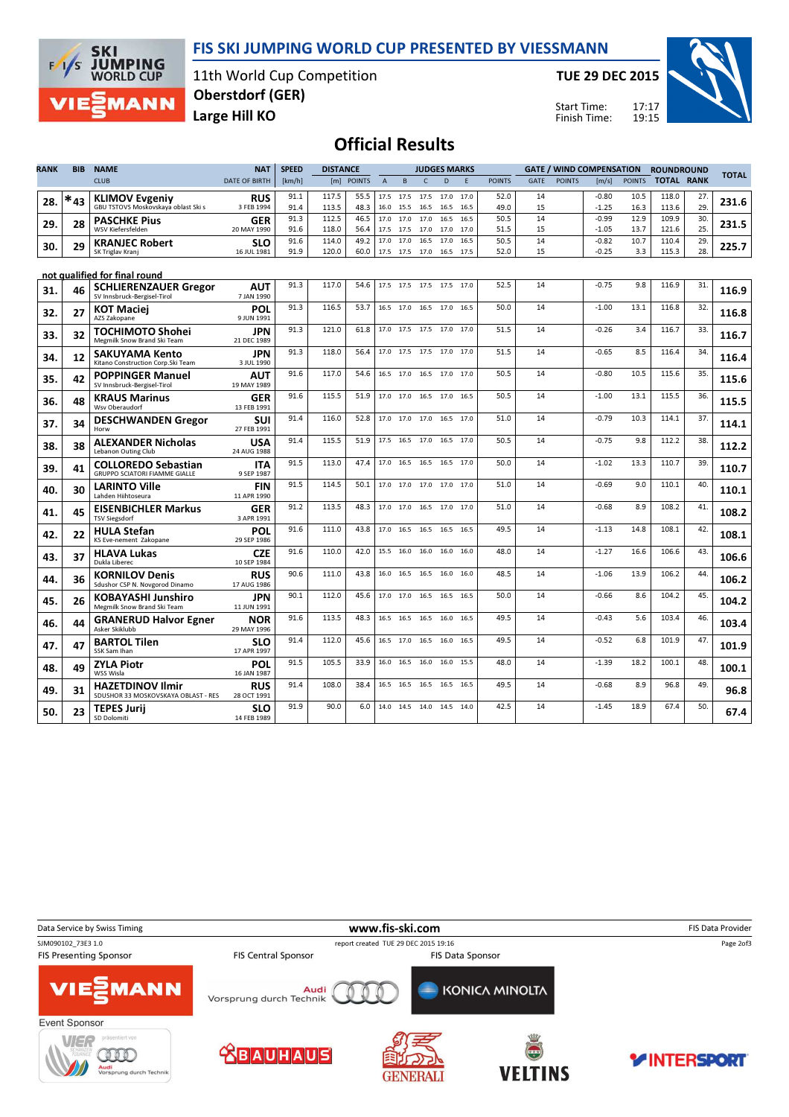### FIS SKI JUMPING WORLD CUP PRESENTED BY VIESSMANN



11th World Cup Competition Large Hill KO Oberstdorf (GER)

TUE 29 DEC 2015

Start Time: Finish Time:



## Official Results

| RANK | <b>BIB</b> | <b>NAME</b>                                                        | <b>NAT</b>                | <b>SPEED</b><br><b>DISTANCE</b><br><b>GATE / WIND COMPENSATION</b><br><b>JUDGES MARKS</b> |                |               |                |           |                          |              | <b>ROUNDROUND</b> |               | <b>TOTAL</b> |               |                    |               |                   |           |       |
|------|------------|--------------------------------------------------------------------|---------------------------|-------------------------------------------------------------------------------------------|----------------|---------------|----------------|-----------|--------------------------|--------------|-------------------|---------------|--------------|---------------|--------------------|---------------|-------------------|-----------|-------|
|      |            | <b>CLUB</b>                                                        | <b>DATE OF BIRTH</b>      | [km/h]                                                                                    | [m]            | <b>POINTS</b> | $\overline{A}$ | B         | $\mathsf{C}$             | D            | F                 | <b>POINTS</b> | <b>GATE</b>  | <b>POINTS</b> | [m/s]              | <b>POINTS</b> | <b>TOTAL RANK</b> |           |       |
| 28.  | $*_{43}$   | <b>KLIMOV Evgeniy</b>                                              | <b>RUS</b>                | 91.1                                                                                      | 117.5          | 55.5          | 17.5           |           | 17.5 17.5 17.0           |              | 17.0              | 52.0          | 14           |               | $-0.80$            | 10.5          | 118.0             | 27.       | 231.6 |
|      |            | GBU TSTOVS Moskovskaya oblast Ski s                                | 3 FEB 1994                | 91.4                                                                                      | 113.5          | 48.3          | 16.0           |           | 15.5 16.5                | 16.5         | 16.5              | 49.0          | 15           |               | $-1.25$            | 16.3          | 113.6             | 29.       |       |
| 29.  | 28         | <b>PASCHKE Pius</b><br>WSV Kiefersfelden                           | GER<br>20 MAY 1990        | 91.3<br>91.6                                                                              | 112.5<br>118.0 | 46.5<br>56.4  | 17.0<br>17.5   | 17.0      | 17.0<br>17.5 17.0        | 16.5<br>17.0 | 16.5<br>17.0      | 50.5<br>51.5  | 14<br>15     |               | $-0.99$<br>$-1.05$ | 12.9<br>13.7  | 109.9<br>121.6    | 30<br>25. | 231.5 |
|      |            | <b>KRANJEC Robert</b>                                              | <b>SLO</b>                | 91.6                                                                                      | 114.0          | 49.2          | 17.0           |           | 17.0 16.5                | 17.0         | 16.5              | 50.5          | 14           |               | $-0.82$            | 10.7          | 110.4             | 29.       |       |
| 30.  | 29         | SK Triglav Kranj                                                   | 16 JUL 1981               | 91.9                                                                                      | 120.0          | 60.0          | 17.5           | 17.5 17.0 |                          | 16.5         | 17.5              | 52.0          | 15           |               | $-0.25$            | 3.3           | 115.3             | 28.       | 225.7 |
|      |            | not qualified for final round                                      |                           |                                                                                           |                |               |                |           |                          |              |                   |               |              |               |                    |               |                   |           |       |
| 31.  | 46         | <b>SCHLIERENZAUER Gregor</b><br>SV Innsbruck-Bergisel-Tirol        | AUT<br>7 JAN 1990         | 91.3                                                                                      | 117.0          | 54.6          |                |           | 17.5 17.5 17.5 17.5 17.0 |              |                   | 52.5          | 14           |               | $-0.75$            | 9.8           | 116.9             | 31        | 116.9 |
| 32.  | 27         | <b>KOT Maciei</b><br>AZS Zakopane                                  | <b>POL</b><br>9 JUN 1991  | 91.3                                                                                      | 116.5          | 53.7          |                |           | 16.5 17.0 16.5 17.0      |              | 16.5              | 50.0          | 14           |               | $-1.00$            | 13.1          | 116.8             | 32.       | 116.8 |
| 33.  | 32         | TOCHIMOTO Shohei<br>Megmilk Snow Brand Ski Team                    | JPN<br>21 DEC 1989        | 91.3                                                                                      | 121.0          | 61.8          | 17.0           |           | 17.5 17.5 17.0           |              | 17.0              | 51.5          | 14           |               | $-0.26$            | 3.4           | 116.7             | 33.       | 116.7 |
| 34.  | 12         | <b>SAKUYAMA Kento</b><br>Kitano Construction Corp.Ski Team         | JPN<br>3 JUL 1990         | 91.3                                                                                      | 118.0          | 56.4          |                |           | 17.0 17.5 17.5 17.0 17.0 |              |                   | 51.5          | 14           |               | $-0.65$            | 8.5           | 116.4             | 34        | 116.4 |
| 35.  | 42         | <b>POPPINGER Manuel</b><br>SV Innsbruck-Bergisel-Tirol             | AUT<br>19 MAY 1989        | 91.6                                                                                      | 117.0          | 54.6          | 16.5           |           | 17.0 16.5                | 17.0         | 17.0              | 50.5          | 14           |               | $-0.80$            | 10.5          | 115.6             | 35.       | 115.6 |
| 36.  | 48         | <b>KRAUS Marinus</b><br>Wsv Oberaudorf                             | GER<br>13 FEB 1991        | 91.6                                                                                      | 115.5          | 51.9          |                |           | 17.0 17.0 16.5           | 17.0         | 16.5              | 50.5          | 14           |               | $-1.00$            | 13.1          | 115.5             | 36        | 115.5 |
| 37.  | 34         | <b>DESCHWANDEN Gregor</b><br>Horw                                  | SUI<br>27 FEB 1991        | 91.4                                                                                      | 116.0          | 52.8          |                |           | 17.0 17.0 17.0 16.5      |              | 17.0              | 51.0          | 14           |               | $-0.79$            | 10.3          | 114.1             | 37.       | 114.1 |
| 38.  | 38         | <b>ALEXANDER Nicholas</b><br>Lebanon Outing Club                   | <b>USA</b><br>24 AUG 1988 | 91.4                                                                                      | 115.5          | 51.9          |                |           | 17.5 16.5 17.0 16.5      |              | 17.0              | 50.5          | 14           |               | $-0.75$            | 9.8           | 112.2             | 38.       | 112.2 |
| 39.  | 41         | <b>COLLOREDO Sebastian</b><br><b>GRUPPO SCIATORI FIAMME GIALLE</b> | <b>ITA</b><br>9 SEP 1987  | 91.5                                                                                      | 113.0          | 47.4          | 17.0           |           | 16.5 16.5                | 16.5         | 17.0              | 50.0          | 14           |               | $-1.02$            | 13.3          | 110.7             | 39.       | 110.7 |
| 40.  | 30         | <b>LARINTO Ville</b><br>Lahden Hiihtoseura                         | <b>FIN</b><br>11 APR 1990 | 91.5                                                                                      | 114.5          | 50.1          |                |           | 17.0 17.0 17.0 17.0      |              | 17.0              | 51.0          | 14           |               | $-0.69$            | 9.0           | 110.1             | 40        | 110.1 |
| 41.  | 45         | <b>EISENBICHLER Markus</b><br><b>TSV Siegsdorf</b>                 | <b>GER</b><br>3 APR 1991  | 91.2                                                                                      | 113.5          | 48.3          | 17.0           |           | 17.0 16.5 17.0           |              | 17.0              | 51.0          | 14           |               | $-0.68$            | 8.9           | 108.2             | 41        | 108.2 |
| 42.  | 22         | <b>HULA Stefan</b><br>KS Eve-nement Zakopane                       | POL<br>29 SEP 1986        | 91.6                                                                                      | 111.0          | 43.8          | 17.0           |           | 16.5 16.5 16.5           |              | 16.5              | 49.5          | 14           |               | $-1.13$            | 14.8          | 108.1             | 42        | 108.1 |
| 43.  | 37         | <b>HLAVA Lukas</b><br>Dukla Liberec                                | <b>CZE</b><br>10 SEP 1984 | 91.6                                                                                      | 110.0          | 42.0          | 15.5           | 16.0      | 16.0                     | 16.0         | 16.0              | 48.0          | 14           |               | $-1.27$            | 16.6          | 106.6             | 43.       | 106.6 |
| 44.  | 36         | <b>KORNILOV Denis</b><br>Sdushor CSP N. Novgorod Dinamo            | <b>RUS</b><br>17 AUG 1986 | 90.6                                                                                      | 111.0          | 43.8          | 16.0           |           | 16.5 16.5                | 16.0         | 16.0              | 48.5          | 14           |               | $-1.06$            | 13.9          | 106.2             | 44        | 106.2 |
| 45.  | 26         | <b>KOBAYASHI Junshiro</b><br>Megmilk Snow Brand Ski Team           | JPN<br>11 JUN 1991        | 90.1                                                                                      | 112.0          | 45.6          | 17.0           | 17.0      | 16.5                     | 16.5         | 16.5              | 50.0          | 14           |               | $-0.66$            | 8.6           | 104.2             | 45.       | 104.2 |
| 46.  | 44         | <b>GRANERUD Halvor Egner</b><br>Asker Skiklubb                     | <b>NOR</b><br>29 MAY 1996 | 91.6                                                                                      | 113.5          | 48.3          | 16.5           |           | 16.5 16.5                | 16.0         | 16.5              | 49.5          | 14           |               | $-0.43$            | 5.6           | 103.4             | 46        | 103.4 |
| 47.  | 47         | <b>BARTOL Tilen</b><br>SSK Sam Ihan                                | <b>SLO</b><br>17 APR 1997 | 91.4                                                                                      | 112.0          | 45.6          | 16.5           | 17.0      | 16.5                     | 16.0         | 16.5              | 49.5          | 14           |               | $-0.52$            | 6.8           | 101.9             | 47.       | 101.9 |
| 48.  | 49         | <b>ZYLA Piotr</b><br>WSS Wisla                                     | <b>POL</b><br>16 JAN 1987 | 91.5                                                                                      | 105.5          | 33.9          | 16.0           | 16.5      | 16.0                     | 16.0         | 15.5              | 48.0          | 14           |               | $-1.39$            | 18.2          | 100.1             | 48.       | 100.1 |
| 49.  | 31         | <b>HAZETDINOV Ilmir</b><br>SDUSHOR 33 MOSKOVSKAYA OBLAST - RES     | <b>RUS</b><br>28 OCT 1991 | 91.4                                                                                      | 108.0          | 38.4          | 16.5           | 16.5      | 16.5                     | 16.5         | 16.5              | 49.5          | 14           |               | $-0.68$            | 8.9           | 96.8              | 49.       | 96.8  |
| 50.  | 23         | <b>TEPES Jurij</b><br>SD Dolomiti                                  | <b>SLO</b><br>14 FEB 1989 | 91.9                                                                                      | 90.0           | 6.0           |                |           | 14.0 14.5 14.0 14.5      |              | 14.0              | 42.5          | 14           |               | $-1.45$            | 18.9          | 67.4              | 50.       | 67.4  |